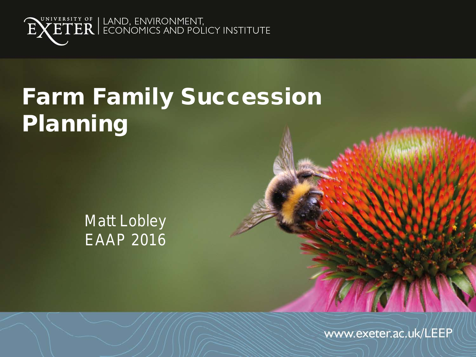

# Farm Family Succession Planning

#### Matt Lobley EAAP 2016

www.exeter.ac.uk/LEEP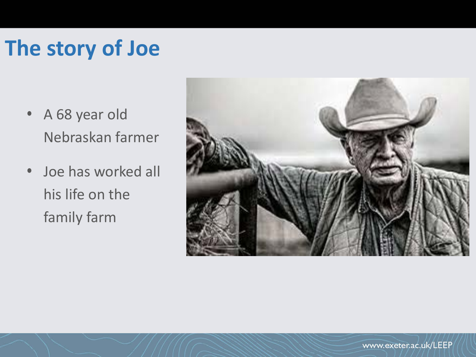# **The story of Joe**

- A 68 year old Nebraskan farmer
- Joe has worked all his life on the family farm

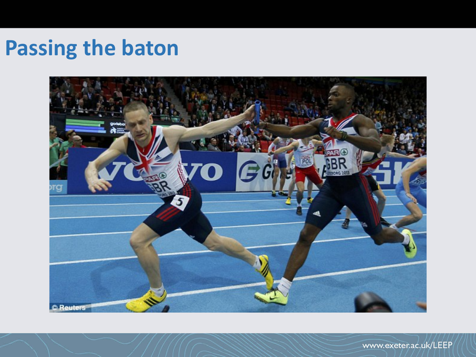### **Passing the baton**

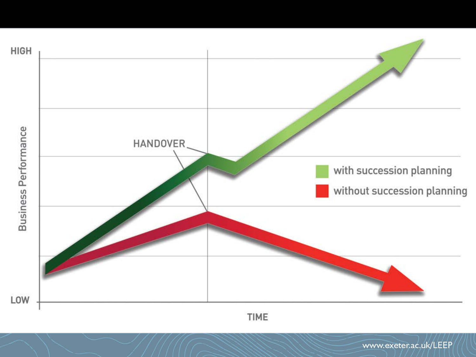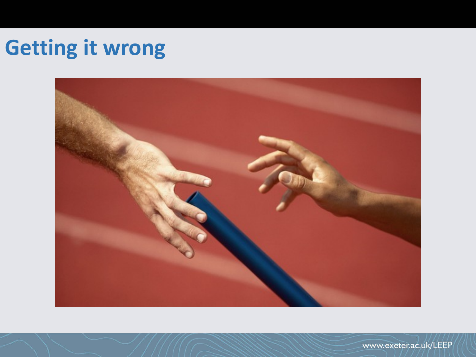# **Getting it wrong**

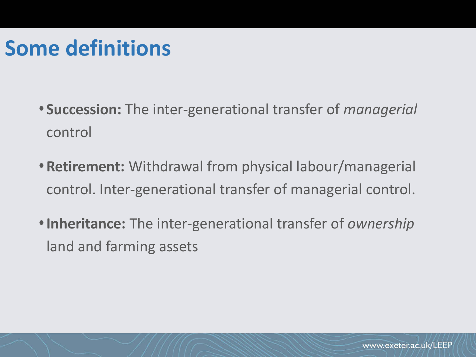### **Some definitions**

- **Succession:** The inter-generational transfer of *managerial* control
- **Retirement:** Withdrawal from physical labour/managerial control. Inter-generational transfer of managerial control.
- **Inheritance:** The inter-generational transfer of *ownership* land and farming assets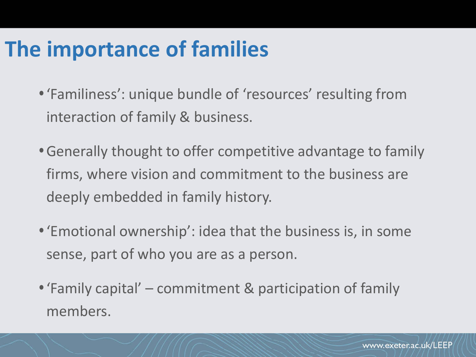### **The importance of families**

- 'Familiness': unique bundle of 'resources' resulting from interaction of family & business.
- Generally thought to offer competitive advantage to family firms, where vision and commitment to the business are deeply embedded in family history.
- 'Emotional ownership': idea that the business is, in some sense, part of who you are as a person.
- 'Family capital' commitment & participation of family members.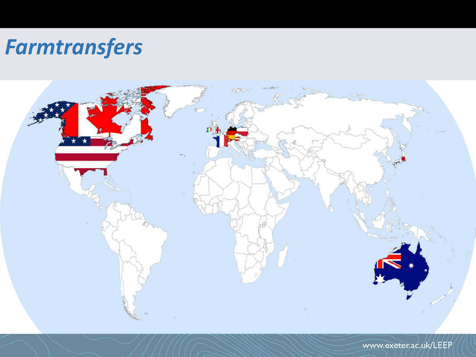#### *Farmtransfers*

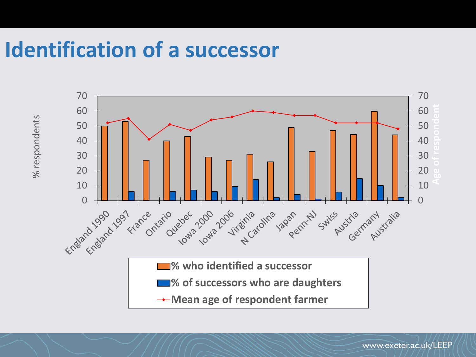#### **Identification of a successor**



www.exeter.ac.uk/LEEP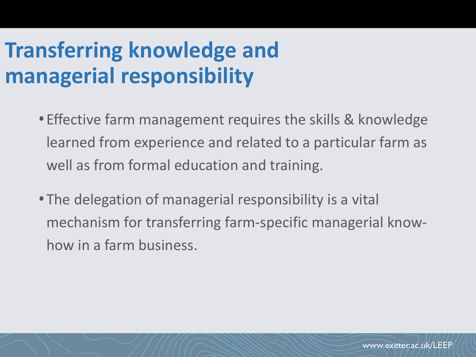# **Transferring knowledge and managerial responsibility**

- Effective farm management requires the skills & knowledge learned from experience and related to a particular farm as well as from formal education and training.
- The delegation of managerial responsibility is a vital mechanism for transferring farm-specific managerial knowhow in a farm business.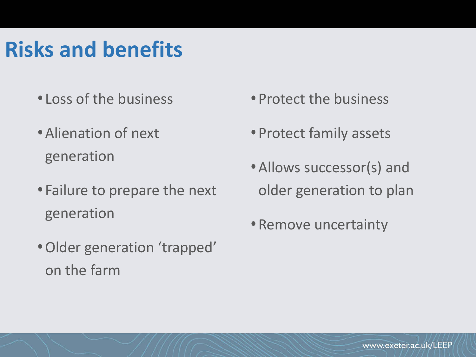# **Risks and benefits**

- Loss of the business
- Alienation of next generation
- Failure to prepare the next generation
- Older generation 'trapped' on the farm
- Protect the business
- Protect family assets
- Allows successor(s) and older generation to plan
- Remove uncertainty